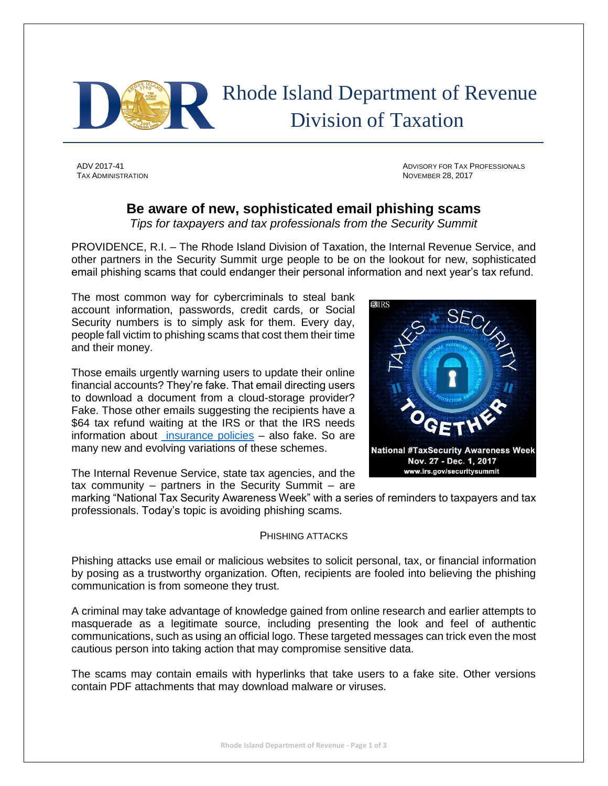

 Rhode Island Department of Revenue Division of Taxation

TAX ADMINISTRATION NOVEMBER 28, 2017

ADV 2017-41 ADVISORY FOR TAX PROFESSIONALS

## **Be aware of new, sophisticated email phishing scams**

*Tips for taxpayers and tax professionals from the Security Summit*

PROVIDENCE, R.I. – The Rhode Island Division of Taxation, the Internal Revenue Service, and other partners in the Security Summit urge people to be on the lookout for new, sophisticated email phishing scams that could endanger their personal information and next year's tax refund.

The most common way for cybercriminals to steal bank account information, passwords, credit cards, or Social Security numbers is to simply ask for them. Every day, people fall victim to phishing scams that cost them their time and their money.

Those emails urgently warning users to update their online financial accounts? They're fake. That email directing users to download a document from a cloud-storage provider? Fake. Those other emails suggesting the recipients have a \$64 tax refund waiting at the IRS or that the IRS needs information about [insurance policies](https://www.irs.gov/newsroom/fake-insurance-tax-form-scam-aims-at-stealing-data-from-tax-pros-clients) – also fake. So are many new and evolving variations of these schemes.



The Internal Revenue Service, state tax agencies, and the tax community – partners in the Security Summit – are

marking "National Tax Security Awareness Week" with a series of reminders to taxpayers and tax professionals. Today's topic is avoiding phishing scams.

## PHISHING ATTACKS

Phishing attacks use email or malicious websites to solicit personal, tax, or financial information by posing as a trustworthy organization. Often, recipients are fooled into believing the phishing communication is from someone they trust.

A criminal may take advantage of knowledge gained from online research and earlier attempts to masquerade as a legitimate source, including presenting the look and feel of authentic communications, such as using an official logo. These targeted messages can trick even the most cautious person into taking action that may compromise sensitive data.

The scams may contain emails with hyperlinks that take users to a fake site. Other versions contain PDF attachments that may download malware or viruses.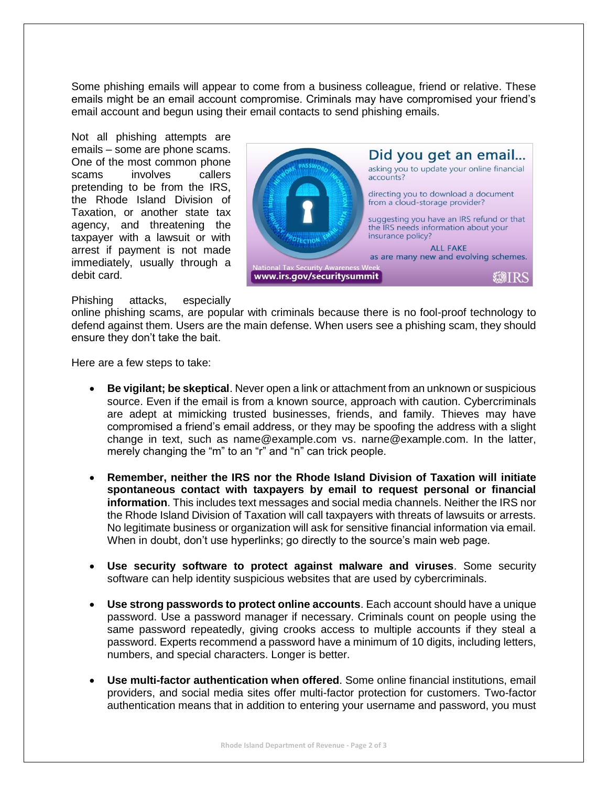Some phishing emails will appear to come from a business colleague, friend or relative. These emails might be an email account compromise. Criminals may have compromised your friend's email account and begun using their email contacts to send phishing emails.

Not all phishing attempts are emails – some are phone scams. One of the most common phone scams involves callers pretending to be from the IRS, the Rhode Island Division of Taxation, or another state tax agency, and threatening the taxpayer with a lawsuit or with arrest if payment is not made immediately, usually through a debit card.



Phishing attacks, especially

online phishing scams, are popular with criminals because there is no fool-proof technology to defend against them. Users are the main defense. When users see a phishing scam, they should ensure they don't take the bait.

Here are a few steps to take:

- **Be vigilant; be skeptical**. Never open a link or attachment from an unknown or suspicious source. Even if the email is from a known source, approach with caution. Cybercriminals are adept at mimicking trusted businesses, friends, and family. Thieves may have compromised a friend's email address, or they may be spoofing the address with a slight change in text, such as name@example.com vs. narne@example.com. In the latter, merely changing the "m" to an "r" and "n" can trick people.
- **Remember, neither the IRS nor the Rhode Island Division of Taxation will initiate spontaneous contact with taxpayers by email to request personal or financial information**. This includes text messages and social media channels. Neither the IRS nor the Rhode Island Division of Taxation will call taxpayers with threats of lawsuits or arrests. No legitimate business or organization will ask for sensitive financial information via email. When in doubt, don't use hyperlinks; go directly to the source's main web page.
- **Use security software to protect against malware and viruses**. Some security software can help identity suspicious websites that are used by cybercriminals.
- **Use strong passwords to protect online accounts**. Each account should have a unique password. Use a password manager if necessary. Criminals count on people using the same password repeatedly, giving crooks access to multiple accounts if they steal a password. Experts recommend a password have a minimum of 10 digits, including letters, numbers, and special characters. Longer is better.
- **Use multi-factor authentication when offered**. Some online financial institutions, email providers, and social media sites offer multi-factor protection for customers. Two-factor authentication means that in addition to entering your username and password, you must